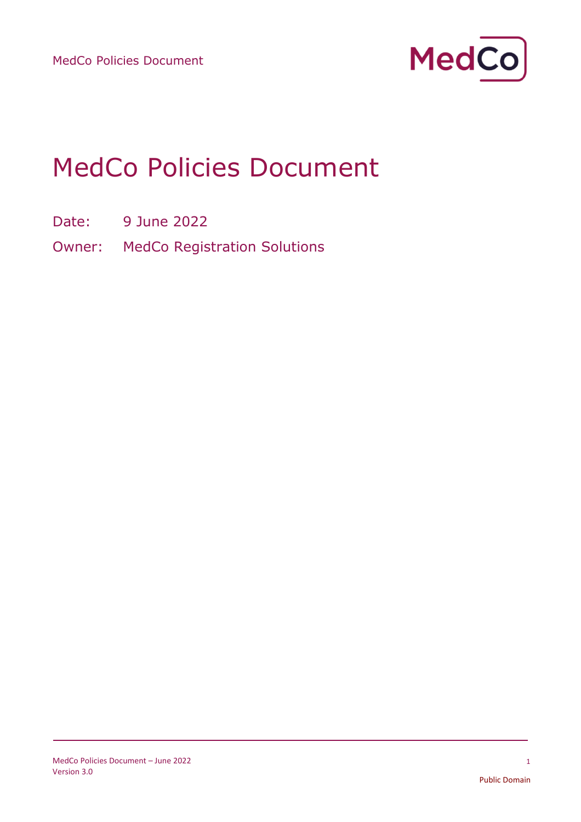

# MedCo Policies Document

- Date: 9 June 2022
- Owner: MedCo Registration Solutions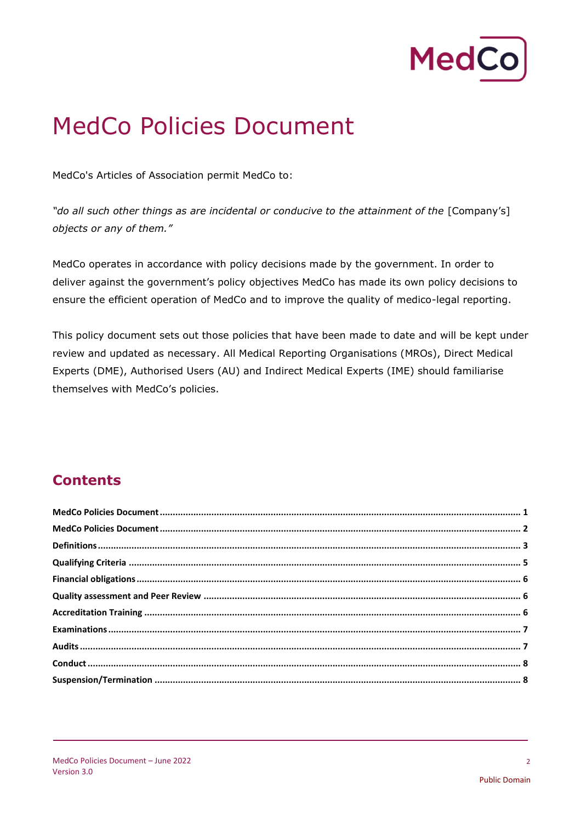

## MedCo Policies Document

MedCo's Articles of Association permit MedCo to:

"do all such other things as are incidental or conducive to the attainment of the [Company's] *objects or any of them."*

MedCo operates in accordance with policy decisions made by the government. In order to deliver against the government's policy objectives MedCo has made its own policy decisions to ensure the efficient operation of MedCo and to improve the quality of medico-legal reporting.

This policy document sets out those policies that have been made to date and will be kept under review and updated as necessary. All Medical Reporting Organisations (MROs), Direct Medical Experts (DME), Authorised Users (AU) and Indirect Medical Experts (IME) should familiarise themselves with MedCo's policies.

## **Contents**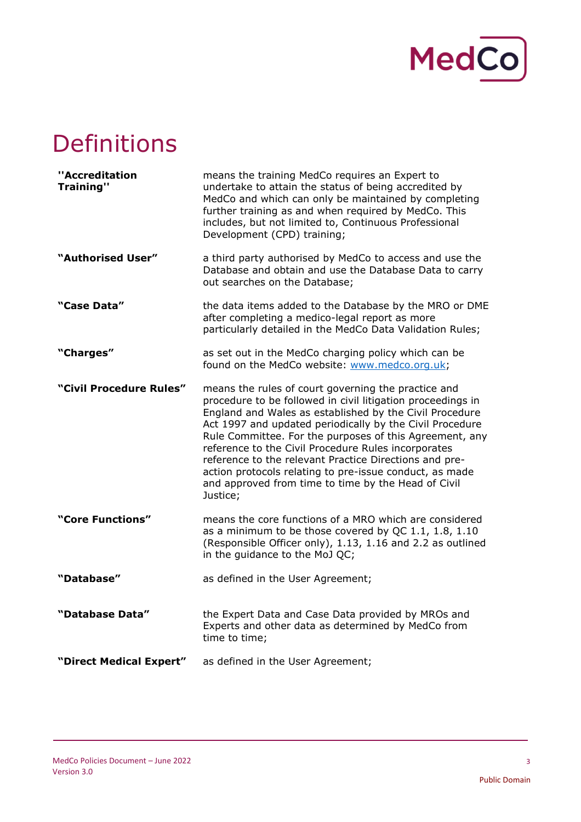

## Definitions

| ''Accreditation<br><b>Training"</b> | means the training MedCo requires an Expert to<br>undertake to attain the status of being accredited by<br>MedCo and which can only be maintained by completing<br>further training as and when required by MedCo. This<br>includes, but not limited to, Continuous Professional<br>Development (CPD) training;                                                                                                                                                                                                                                     |
|-------------------------------------|-----------------------------------------------------------------------------------------------------------------------------------------------------------------------------------------------------------------------------------------------------------------------------------------------------------------------------------------------------------------------------------------------------------------------------------------------------------------------------------------------------------------------------------------------------|
| "Authorised User"                   | a third party authorised by MedCo to access and use the<br>Database and obtain and use the Database Data to carry<br>out searches on the Database;                                                                                                                                                                                                                                                                                                                                                                                                  |
| "Case Data"                         | the data items added to the Database by the MRO or DME<br>after completing a medico-legal report as more<br>particularly detailed in the MedCo Data Validation Rules;                                                                                                                                                                                                                                                                                                                                                                               |
| "Charges"                           | as set out in the MedCo charging policy which can be<br>found on the MedCo website: www.medco.org.uk;                                                                                                                                                                                                                                                                                                                                                                                                                                               |
| "Civil Procedure Rules"             | means the rules of court governing the practice and<br>procedure to be followed in civil litigation proceedings in<br>England and Wales as established by the Civil Procedure<br>Act 1997 and updated periodically by the Civil Procedure<br>Rule Committee. For the purposes of this Agreement, any<br>reference to the Civil Procedure Rules incorporates<br>reference to the relevant Practice Directions and pre-<br>action protocols relating to pre-issue conduct, as made<br>and approved from time to time by the Head of Civil<br>Justice; |
| "Core Functions"                    | means the core functions of a MRO which are considered<br>as a minimum to be those covered by QC 1.1, 1.8, 1.10<br>(Responsible Officer only), 1.13, 1.16 and 2.2 as outlined<br>in the guidance to the MoJ QC;                                                                                                                                                                                                                                                                                                                                     |
| "Database"                          | as defined in the User Agreement;                                                                                                                                                                                                                                                                                                                                                                                                                                                                                                                   |
| "Database Data"                     | the Expert Data and Case Data provided by MROs and<br>Experts and other data as determined by MedCo from<br>time to time;                                                                                                                                                                                                                                                                                                                                                                                                                           |
| "Direct Medical Expert"             | as defined in the User Agreement;                                                                                                                                                                                                                                                                                                                                                                                                                                                                                                                   |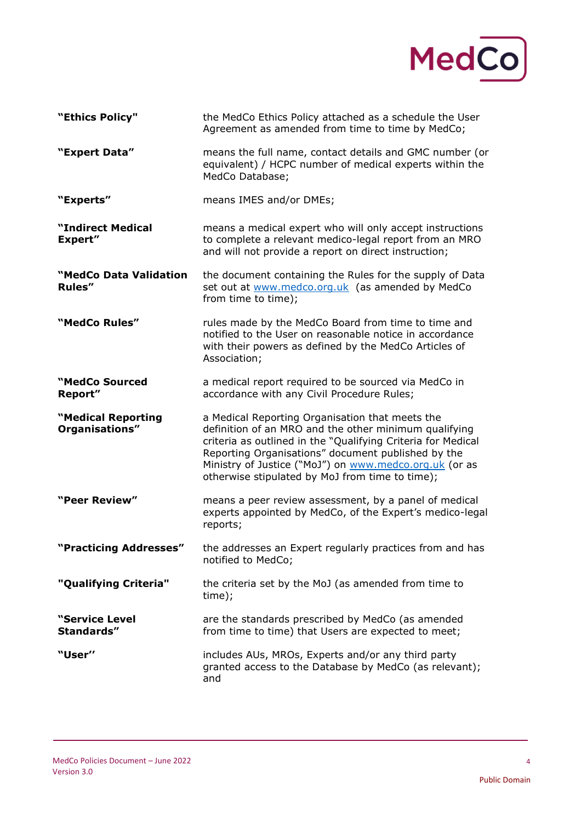

| "Ethics Policy"                      | the MedCo Ethics Policy attached as a schedule the User<br>Agreement as amended from time to time by MedCo;                                                                                                                                                                                                                                 |
|--------------------------------------|---------------------------------------------------------------------------------------------------------------------------------------------------------------------------------------------------------------------------------------------------------------------------------------------------------------------------------------------|
| "Expert Data"                        | means the full name, contact details and GMC number (or<br>equivalent) / HCPC number of medical experts within the<br>MedCo Database;                                                                                                                                                                                                       |
| "Experts"                            | means IMES and/or DMEs;                                                                                                                                                                                                                                                                                                                     |
| "Indirect Medical<br><b>Expert"</b>  | means a medical expert who will only accept instructions<br>to complete a relevant medico-legal report from an MRO<br>and will not provide a report on direct instruction;                                                                                                                                                                  |
| "MedCo Data Validation<br>Rules"     | the document containing the Rules for the supply of Data<br>set out at www.medco.org.uk (as amended by MedCo<br>from time to time);                                                                                                                                                                                                         |
| "MedCo Rules"                        | rules made by the MedCo Board from time to time and<br>notified to the User on reasonable notice in accordance<br>with their powers as defined by the MedCo Articles of<br>Association;                                                                                                                                                     |
| "MedCo Sourced<br>Report"            | a medical report required to be sourced via MedCo in<br>accordance with any Civil Procedure Rules;                                                                                                                                                                                                                                          |
| "Medical Reporting<br>Organisations" | a Medical Reporting Organisation that meets the<br>definition of an MRO and the other minimum qualifying<br>criteria as outlined in the "Qualifying Criteria for Medical<br>Reporting Organisations" document published by the<br>Ministry of Justice ("MoJ") on www.medco.org.uk (or as<br>otherwise stipulated by MoJ from time to time); |
| "Peer Review"                        | means a peer review assessment, by a panel of medical<br>experts appointed by MedCo, of the Expert's medico-legal<br>reports;                                                                                                                                                                                                               |
| "Practicing Addresses"               | the addresses an Expert regularly practices from and has<br>notified to MedCo;                                                                                                                                                                                                                                                              |
| "Qualifying Criteria"                | the criteria set by the MoJ (as amended from time to<br>time);                                                                                                                                                                                                                                                                              |
| "Service Level<br>Standards"         | are the standards prescribed by MedCo (as amended<br>from time to time) that Users are expected to meet;                                                                                                                                                                                                                                    |
| "User"                               | includes AUs, MROs, Experts and/or any third party<br>granted access to the Database by MedCo (as relevant);<br>and                                                                                                                                                                                                                         |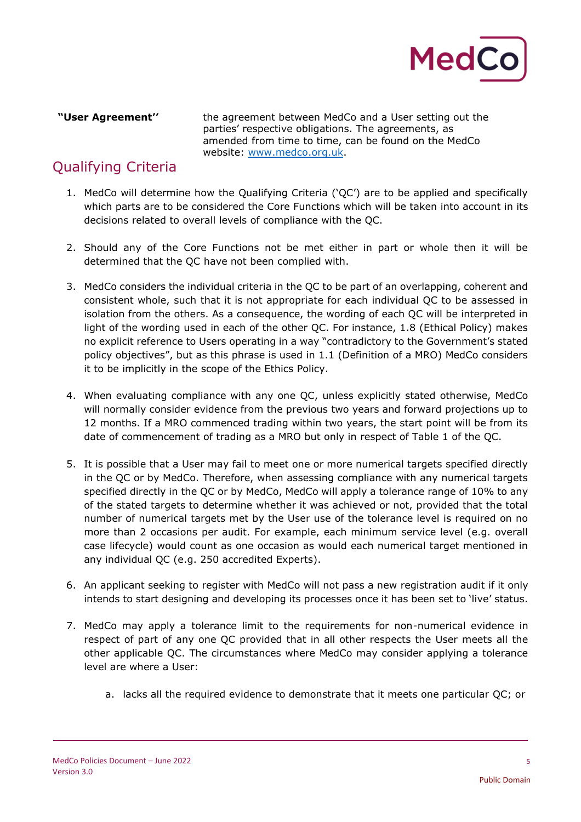

**"User Agreement''** the agreement between MedCo and a User setting out the parties' respective obligations. The agreements, as amended from time to time, can be found on the MedCo website: [www.medco.org.uk.](http://www.medco.org.uk/)

## Qualifying Criteria

- 1. MedCo will determine how the Qualifying Criteria ('QC') are to be applied and specifically which parts are to be considered the Core Functions which will be taken into account in its decisions related to overall levels of compliance with the QC.
- 2. Should any of the Core Functions not be met either in part or whole then it will be determined that the QC have not been complied with.
- 3. MedCo considers the individual criteria in the QC to be part of an overlapping, coherent and consistent whole, such that it is not appropriate for each individual QC to be assessed in isolation from the others. As a consequence, the wording of each QC will be interpreted in light of the wording used in each of the other QC. For instance, 1.8 (Ethical Policy) makes no explicit reference to Users operating in a way "contradictory to the Government's stated policy objectives", but as this phrase is used in 1.1 (Definition of a MRO) MedCo considers it to be implicitly in the scope of the Ethics Policy.
- 4. When evaluating compliance with any one QC, unless explicitly stated otherwise, MedCo will normally consider evidence from the previous two years and forward projections up to 12 months. If a MRO commenced trading within two years, the start point will be from its date of commencement of trading as a MRO but only in respect of Table 1 of the QC.
- 5. It is possible that a User may fail to meet one or more numerical targets specified directly in the QC or by MedCo. Therefore, when assessing compliance with any numerical targets specified directly in the QC or by MedCo, MedCo will apply a tolerance range of 10% to any of the stated targets to determine whether it was achieved or not, provided that the total number of numerical targets met by the User use of the tolerance level is required on no more than 2 occasions per audit. For example, each minimum service level (e.g. overall case lifecycle) would count as one occasion as would each numerical target mentioned in any individual QC (e.g. 250 accredited Experts).
- 6. An applicant seeking to register with MedCo will not pass a new registration audit if it only intends to start designing and developing its processes once it has been set to 'live' status.
- 7. MedCo may apply a tolerance limit to the requirements for non-numerical evidence in respect of part of any one QC provided that in all other respects the User meets all the other applicable QC. The circumstances where MedCo may consider applying a tolerance level are where a User:
	- a. lacks all the required evidence to demonstrate that it meets one particular QC; or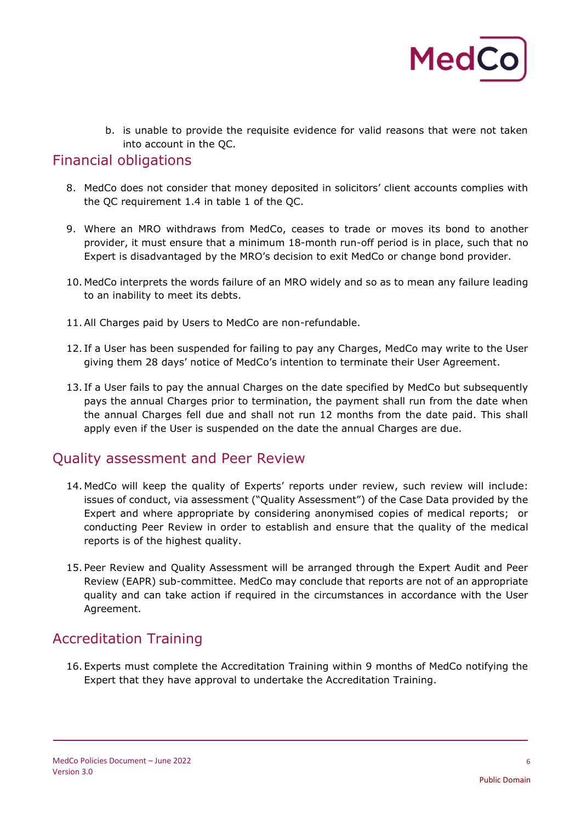

b. is unable to provide the requisite evidence for valid reasons that were not taken into account in the QC.

#### Financial obligations

- 8. MedCo does not consider that money deposited in solicitors' client accounts complies with the QC requirement 1.4 in table 1 of the QC.
- 9. Where an MRO withdraws from MedCo, ceases to trade or moves its bond to another provider, it must ensure that a minimum 18-month run-off period is in place, such that no Expert is disadvantaged by the MRO's decision to exit MedCo or change bond provider.
- 10. MedCo interprets the words failure of an MRO widely and so as to mean any failure leading to an inability to meet its debts.
- 11.All Charges paid by Users to MedCo are non-refundable.
- 12. If a User has been suspended for failing to pay any Charges, MedCo may write to the User giving them 28 days' notice of MedCo's intention to terminate their User Agreement.
- 13. If a User fails to pay the annual Charges on the date specified by MedCo but subsequently pays the annual Charges prior to termination, the payment shall run from the date when the annual Charges fell due and shall not run 12 months from the date paid. This shall apply even if the User is suspended on the date the annual Charges are due.

#### Quality assessment and Peer Review

- 14. MedCo will keep the quality of Experts' reports under review, such review will include: issues of conduct, via assessment ("Quality Assessment") of the Case Data provided by the Expert and where appropriate by considering anonymised copies of medical reports; or conducting Peer Review in order to establish and ensure that the quality of the medical reports is of the highest quality.
- 15. Peer Review and Quality Assessment will be arranged through the Expert Audit and Peer Review (EAPR) sub-committee. MedCo may conclude that reports are not of an appropriate quality and can take action if required in the circumstances in accordance with the User Agreement.

### Accreditation Training

16. Experts must complete the Accreditation Training within 9 months of MedCo notifying the Expert that they have approval to undertake the Accreditation Training.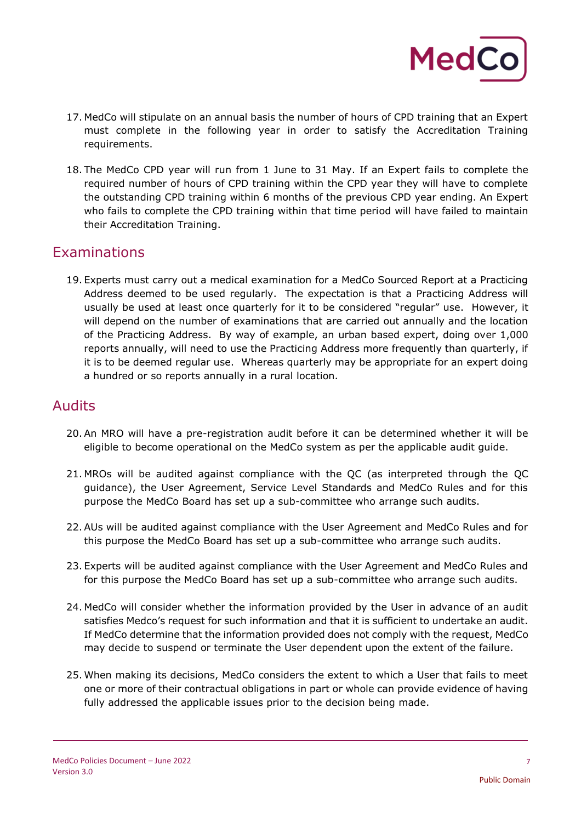

- 17. MedCo will stipulate on an annual basis the number of hours of CPD training that an Expert must complete in the following year in order to satisfy the Accreditation Training requirements.
- 18. The MedCo CPD year will run from 1 June to 31 May. If an Expert fails to complete the required number of hours of CPD training within the CPD year they will have to complete the outstanding CPD training within 6 months of the previous CPD year ending. An Expert who fails to complete the CPD training within that time period will have failed to maintain their Accreditation Training.

#### Examinations

19. Experts must carry out a medical examination for a MedCo Sourced Report at a Practicing Address deemed to be used regularly. The expectation is that a Practicing Address will usually be used at least once quarterly for it to be considered "regular" use. However, it will depend on the number of examinations that are carried out annually and the location of the Practicing Address. By way of example, an urban based expert, doing over 1,000 reports annually, will need to use the Practicing Address more frequently than quarterly, if it is to be deemed regular use. Whereas quarterly may be appropriate for an expert doing a hundred or so reports annually in a rural location*.* 

#### Audits

- 20.An MRO will have a pre-registration audit before it can be determined whether it will be eligible to become operational on the MedCo system as per the applicable audit guide.
- 21. MROs will be audited against compliance with the QC (as interpreted through the QC guidance), the User Agreement, Service Level Standards and MedCo Rules and for this purpose the MedCo Board has set up a sub-committee who arrange such audits.
- 22.AUs will be audited against compliance with the User Agreement and MedCo Rules and for this purpose the MedCo Board has set up a sub-committee who arrange such audits.
- 23. Experts will be audited against compliance with the User Agreement and MedCo Rules and for this purpose the MedCo Board has set up a sub-committee who arrange such audits.
- 24. MedCo will consider whether the information provided by the User in advance of an audit satisfies Medco's request for such information and that it is sufficient to undertake an audit. If MedCo determine that the information provided does not comply with the request, MedCo may decide to suspend or terminate the User dependent upon the extent of the failure.
- 25. When making its decisions, MedCo considers the extent to which a User that fails to meet one or more of their contractual obligations in part or whole can provide evidence of having fully addressed the applicable issues prior to the decision being made.